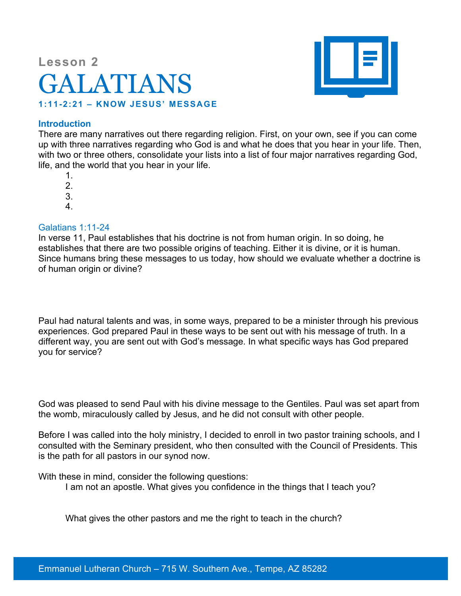# **Lesson 2** GALATIANS **1:11-2:21 – KNOW JESUS' MESSAGE**



### **Introduction**

There are many narratives out there regarding religion. First, on your own, see if you can come up with three narratives regarding who God is and what he does that you hear in your life. Then, with two or three others, consolidate your lists into a list of four major narratives regarding God, life, and the world that you hear in your life.

1.

- 2. 3.
- 4.
- 

## Galatians 1:11-24

In verse 11, Paul establishes that his doctrine is not from human origin. In so doing, he establishes that there are two possible origins of teaching. Either it is divine, or it is human. Since humans bring these messages to us today, how should we evaluate whether a doctrine is of human origin or divine?

Paul had natural talents and was, in some ways, prepared to be a minister through his previous experiences. God prepared Paul in these ways to be sent out with his message of truth. In a different way, you are sent out with God's message. In what specific ways has God prepared you for service?

God was pleased to send Paul with his divine message to the Gentiles. Paul was set apart from the womb, miraculously called by Jesus, and he did not consult with other people.

Before I was called into the holy ministry, I decided to enroll in two pastor training schools, and I consulted with the Seminary president, who then consulted with the Council of Presidents. This is the path for all pastors in our synod now.

With these in mind, consider the following questions:

I am not an apostle. What gives you confidence in the things that I teach you?

What gives the other pastors and me the right to teach in the church?